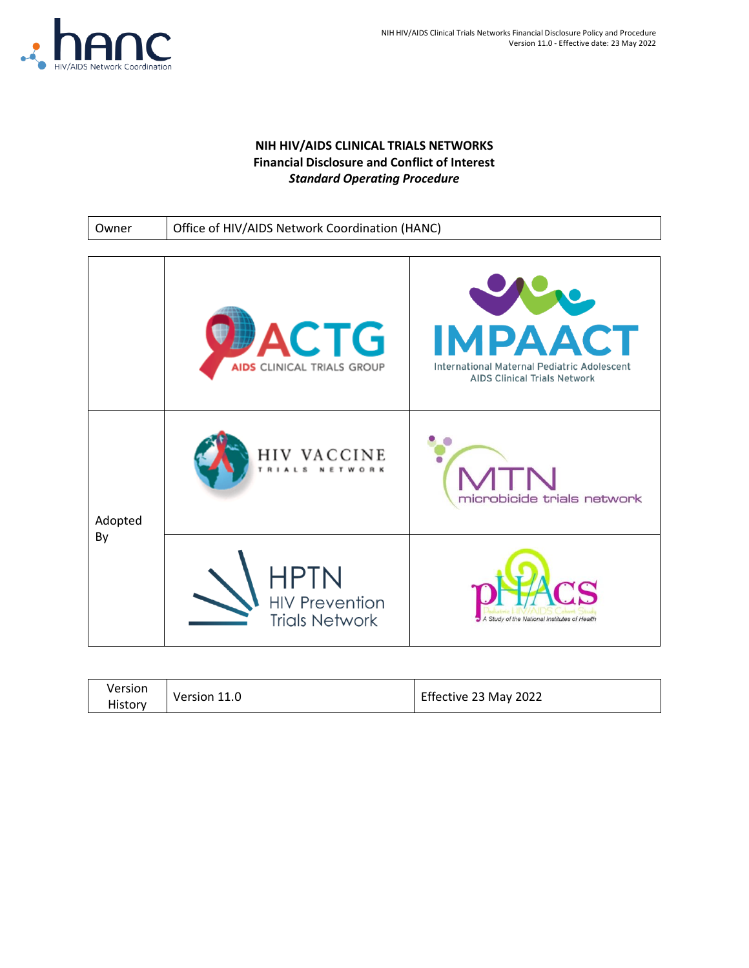

# **NIH HIV/AIDS CLINICAL TRIALS NETWORKS Financial Disclosure and Conflict of Interest**  *Standard Operating Procedure*

| Owner         | Office of HIV/AIDS Network Coordination (HANC)                |                                                                                                      |  |  |
|---------------|---------------------------------------------------------------|------------------------------------------------------------------------------------------------------|--|--|
|               |                                                               |                                                                                                      |  |  |
|               | <b>DACTG</b><br>AIDS CLINICAL TRIALS GROUP                    | <b>IMPAACT</b><br>International Maternal Pediatric Adolescent<br><b>AIDS Clinical Trials Network</b> |  |  |
| Adopted<br>By | HIV VACCINE                                                   | microbicide trials network                                                                           |  |  |
|               | <b>HPTN</b><br><b>HIV Prevention</b><br><b>Trials Network</b> | A Study of the National Institutes of Health                                                         |  |  |

| Version | Version 11.0 | Effective 23 May 2022 |
|---------|--------------|-----------------------|
| History |              |                       |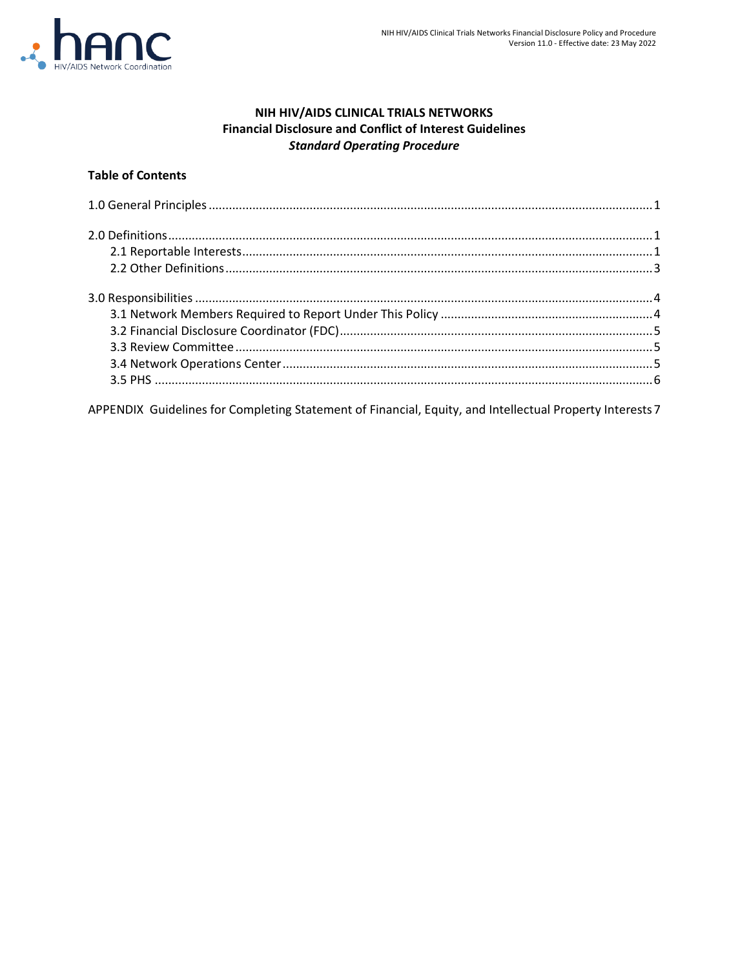# **NIH HIV/AIDS CLINICAL TRIALS NETWORKS Financial Disclosure and Conflict of Interest Guidelines** *Standard Operating Procedure*

# **Table of Contents**

[APPENDIX Guidelines for Completing Statement of Financial, Equity, and Intellectual Property Interests7](#page-8-0)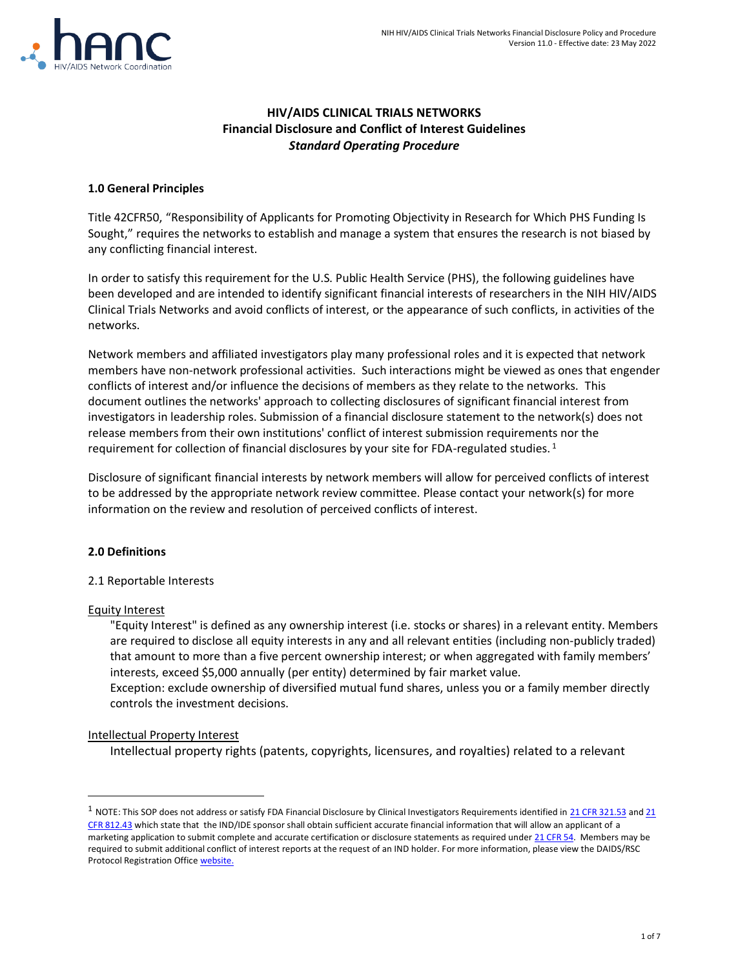

# **HIV/AIDS CLINICAL TRIALS NETWORKS Financial Disclosure and Conflict of Interest Guidelines** *Standard Operating Procedure*

## <span id="page-2-0"></span>**1.0 General Principles**

Title 42CFR50, "Responsibility of Applicants for Promoting Objectivity in Research for Which PHS Funding Is Sought," requires the networks to establish and manage a system that ensures the research is not biased by any conflicting financial interest.

In order to satisfy this requirement for the U.S. Public Health Service (PHS), the following guidelines have been developed and are intended to identify significant financial interests of researchers in the NIH HIV/AIDS Clinical Trials Networks and avoid conflicts of interest, or the appearance of such conflicts, in activities of the networks.

Network members and affiliated investigators play many professional roles and it is expected that network members have non-network professional activities. Such interactions might be viewed as ones that engender conflicts of interest and/or influence the decisions of members as they relate to the networks. This document outlines the networks' approach to collecting disclosures of significant financial interest from investigators in leadership roles. Submission of a financial disclosure statement to the network(s) does not release members from their own institutions' conflict of interest submission requirements nor the requirement for collection of financial disclosures by your site for FDA-regulated studies.<sup>1</sup>

Disclosure of significant financial interests by network members will allow for perceived conflicts of interest to be addressed by the appropriate network review committee. Please contact your network(s) for more information on the review and resolution of perceived conflicts of interest.

## <span id="page-2-1"></span>**2.0 Definitions**

## <span id="page-2-2"></span>2.1 Reportable Interests

## Equity Interest

"Equity Interest" is defined as any ownership interest (i.e. stocks or shares) in a relevant entity. Members are required to disclose all equity interests in any and all relevant entities (including non-publicly traded) that amount to more than a five percent ownership interest; or when aggregated with family members' interests, exceed \$5,000 annually (per entity) determined by fair market value. Exception: exclude ownership of diversified mutual fund shares, unless you or a family member directly controls the investment decisions.

## Intellectual Property Interest

Intellectual property rights (patents, copyrights, licensures, and royalties) related to a relevant

 $1$  NOTE: This SOP does not address or satisfy FDA Financial Disclosure by Clinical Investigators Requirements identified in  $21$  CFR 321.53 and  $21$ [CFR 812.43](http://www.accessdata.fda.gov/scripts/cdrh/cfdocs/cfcfr/CFRSearch.cfm?fr=812.43) which state that the IND/IDE sponsor shall obtain sufficient accurate financial information that will allow an applicant of a marketing application to submit complete and accurate certification or disclosure statements as required unde[r 21 CFR 54.](http://www.accessdata.fda.gov/scripts/cdrh/cfdocs/cfcfr/CFRSearch.cfm?CFRPart=54&showFR=1) Members may be required to submit additional conflict of interest reports at the request of an IND holder. For more information, please view the DAIDS/RSC Protocol Registration Offic[e website.](http://rsc.tech-res.com/protocolregistration/)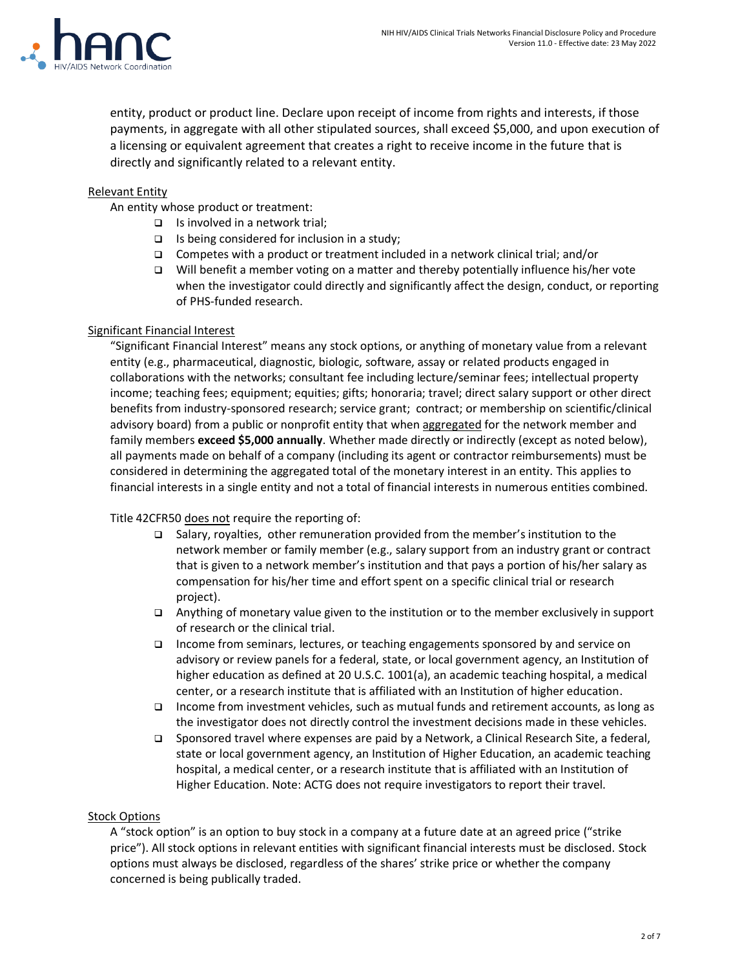

entity, product or product line. Declare upon receipt of income from rights and interests, if those payments, in aggregate with all other stipulated sources, shall exceed \$5,000, and upon execution of a licensing or equivalent agreement that creates a right to receive income in the future that is directly and significantly related to a relevant entity.

## Relevant Entity

An entity whose product or treatment:

- ❑ Is involved in a network trial;
- ❑ Is being considered for inclusion in a study;
- ❑ Competes with a product or treatment included in a network clinical trial; and/or
- ❑ Will benefit a member voting on a matter and thereby potentially influence his/her vote when the investigator could directly and significantly affect the design, conduct, or reporting of PHS-funded research.

## Significant Financial Interest

"Significant Financial Interest" means any stock options, or anything of monetary value from a relevant entity (e.g., pharmaceutical, diagnostic, biologic, software, assay or related products engaged in collaborations with the networks; consultant fee including lecture/seminar fees; intellectual property income; teaching fees; equipment; equities; gifts; honoraria; travel; direct salary support or other direct benefits from industry-sponsored research; service grant; contract; or membership on scientific/clinical advisory board) from a public or nonprofit entity that when aggregated for the network member and family members **exceed \$5,000 annually**. Whether made directly or indirectly (except as noted below), all payments made on behalf of a company (including its agent or contractor reimbursements) must be considered in determining the aggregated total of the monetary interest in an entity. This applies to financial interests in a single entity and not a total of financial interests in numerous entities combined.

## Title 42CFR50 does not require the reporting of:

- ❑ Salary, royalties, other remuneration provided from the member's institution to the network member or family member (e.g., salary support from an industry grant or contract that is given to a network member's institution and that pays a portion of his/her salary as compensation for his/her time and effort spent on a specific clinical trial or research project).
- ❑ Anything of monetary value given to the institution or to the member exclusively in support of research or the clinical trial.
- ❑ Income from seminars, lectures, or teaching engagements sponsored by and service on advisory or review panels for a federal, state, or local government agency, an Institution of higher education as defined at 20 U.S.C. 1001(a), an academic teaching hospital, a medical center, or a research institute that is affiliated with an Institution of higher education.
- ❑ Income from investment vehicles, such as mutual funds and retirement accounts, as long as the investigator does not directly control the investment decisions made in these vehicles.
- ❑ Sponsored travel where expenses are paid by a Network, a Clinical Research Site, a federal, state or local government agency, an Institution of Higher Education, an academic teaching hospital, a medical center, or a research institute that is affiliated with an Institution of Higher Education. Note: ACTG does not require investigators to report their travel.

## Stock Options

A "stock option" is an option to buy stock in a company at a future date at an agreed price ("strike price"). All stock options in relevant entities with significant financial interests must be disclosed. Stock options must always be disclosed, regardless of the shares' strike price or whether the company concerned is being publically traded.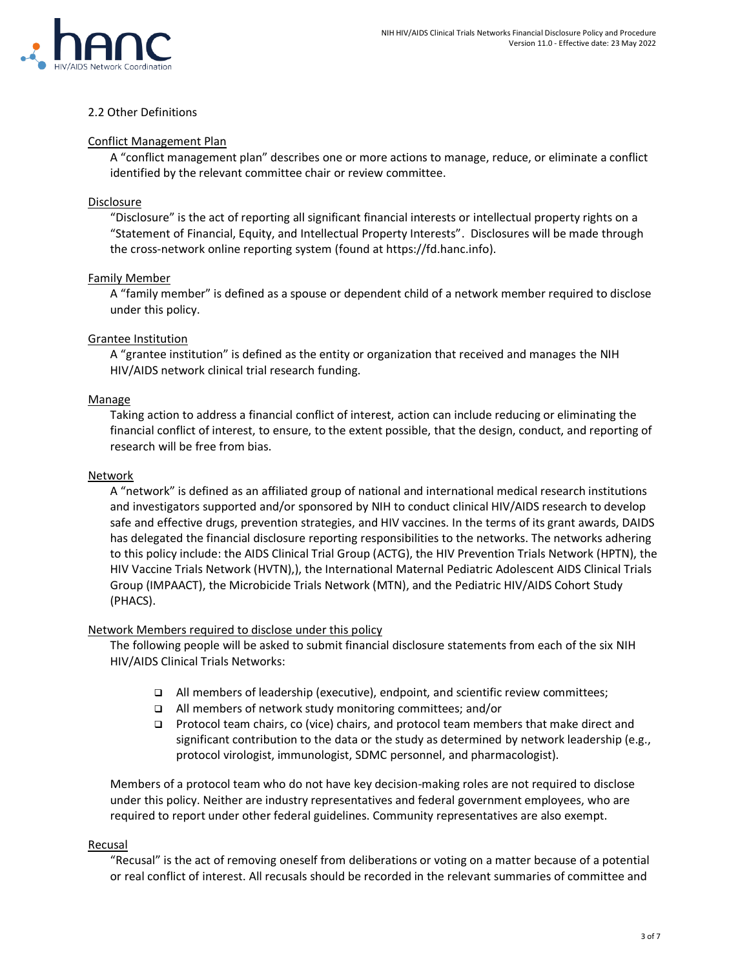

## <span id="page-4-0"></span>2.2 Other Definitions

### Conflict Management Plan

A "conflict management plan" describes one or more actions to manage, reduce, or eliminate a conflict identified by the relevant committee chair or review committee.

### Disclosure

"Disclosure" is the act of reporting all significant financial interests or intellectual property rights on a "Statement of Financial, Equity, and Intellectual Property Interests". Disclosures will be made through the cross-network online reporting system (found at https://fd.hanc.info).

#### Family Member

A "family member" is defined as a spouse or dependent child of a network member required to disclose under this policy.

#### Grantee Institution

A "grantee institution" is defined as the entity or organization that received and manages the NIH HIV/AIDS network clinical trial research funding.

#### Manage

Taking action to address a financial conflict of interest, action can include reducing or eliminating the financial conflict of interest, to ensure, to the extent possible, that the design, conduct, and reporting of research will be free from bias.

#### Network

A "network" is defined as an affiliated group of national and international medical research institutions and investigators supported and/or sponsored by NIH to conduct clinical HIV/AIDS research to develop safe and effective drugs, prevention strategies, and HIV vaccines. In the terms of its grant awards, DAIDS has delegated the financial disclosure reporting responsibilities to the networks. The networks adhering to this policy include: the AIDS Clinical Trial Group (ACTG), the HIV Prevention Trials Network (HPTN), the HIV Vaccine Trials Network (HVTN),), the International Maternal Pediatric Adolescent AIDS Clinical Trials Group (IMPAACT), the Microbicide Trials Network (MTN), and the Pediatric HIV/AIDS Cohort Study (PHACS).

## Network Members required to disclose under this policy

The following people will be asked to submit financial disclosure statements from each of the six NIH HIV/AIDS Clinical Trials Networks:

- ❑ All members of leadership (executive), endpoint, and scientific review committees;
- ❑ All members of network study monitoring committees; and/or
- ❑ Protocol team chairs, co (vice) chairs, and protocol team members that make direct and significant contribution to the data or the study as determined by network leadership (e.g., protocol virologist, immunologist, SDMC personnel, and pharmacologist).

Members of a protocol team who do not have key decision-making roles are not required to disclose under this policy. Neither are industry representatives and federal government employees, who are required to report under other federal guidelines. Community representatives are also exempt.

#### Recusal

"Recusal" is the act of removing oneself from deliberations or voting on a matter because of a potential or real conflict of interest. All recusals should be recorded in the relevant summaries of committee and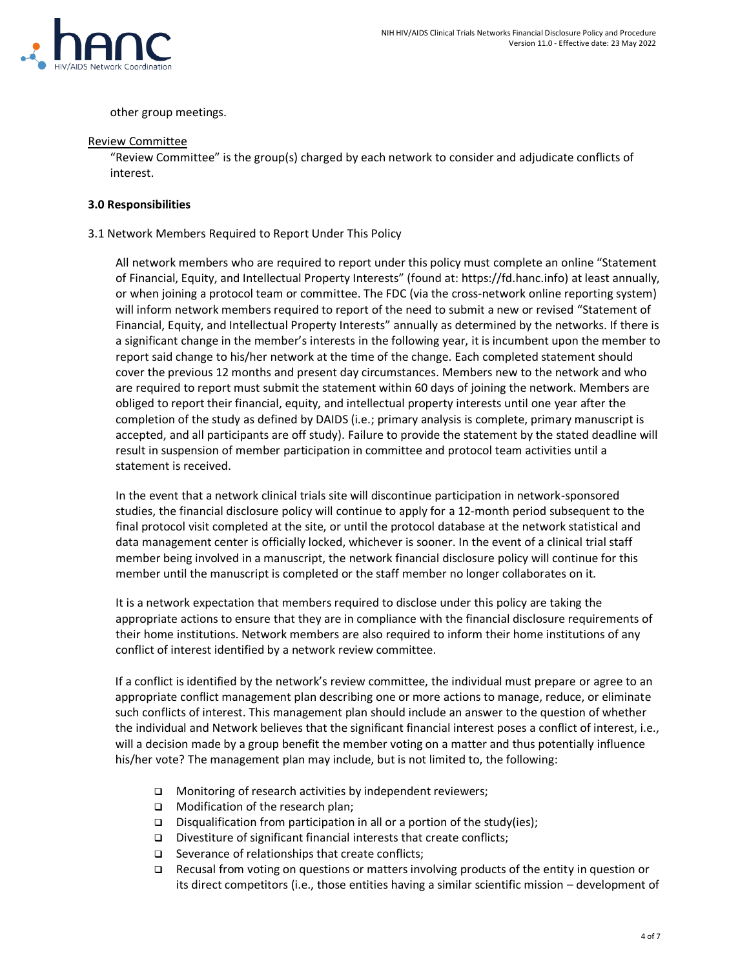

other group meetings.

## Review Committee

"Review Committee" is the group(s) charged by each network to consider and adjudicate conflicts of interest.

## <span id="page-5-0"></span>**3.0 Responsibilities**

## <span id="page-5-1"></span>3.1 Network Members Required to Report Under This Policy

All network members who are required to report under this policy must complete an online "Statement of Financial, Equity, and Intellectual Property Interests" (found at: https://fd.hanc.info) at least annually, or when joining a protocol team or committee. The FDC (via the cross-network online reporting system) will inform network members required to report of the need to submit a new or revised "Statement of Financial, Equity, and Intellectual Property Interests" annually as determined by the networks. If there is a significant change in the member's interests in the following year, it is incumbent upon the member to report said change to his/her network at the time of the change. Each completed statement should cover the previous 12 months and present day circumstances. Members new to the network and who are required to report must submit the statement within 60 days of joining the network. Members are obliged to report their financial, equity, and intellectual property interests until one year after the completion of the study as defined by DAIDS (i.e.; primary analysis is complete, primary manuscript is accepted, and all participants are off study). Failure to provide the statement by the stated deadline will result in suspension of member participation in committee and protocol team activities until a statement is received.

In the event that a network clinical trials site will discontinue participation in network-sponsored studies, the financial disclosure policy will continue to apply for a 12-month period subsequent to the final protocol visit completed at the site, or until the protocol database at the network statistical and data management center is officially locked, whichever is sooner. In the event of a clinical trial staff member being involved in a manuscript, the network financial disclosure policy will continue for this member until the manuscript is completed or the staff member no longer collaborates on it.

It is a network expectation that members required to disclose under this policy are taking the appropriate actions to ensure that they are in compliance with the financial disclosure requirements of their home institutions. Network members are also required to inform their home institutions of any conflict of interest identified by a network review committee.

If a conflict is identified by the network's review committee, the individual must prepare or agree to an appropriate conflict management plan describing one or more actions to manage, reduce, or eliminate such conflicts of interest. This management plan should include an answer to the question of whether the individual and Network believes that the significant financial interest poses a conflict of interest, i.e., will a decision made by a group benefit the member voting on a matter and thus potentially influence his/her vote? The management plan may include, but is not limited to, the following:

- ❑ Monitoring of research activities by independent reviewers;
- ❑ Modification of the research plan;
- ❑ Disqualification from participation in all or a portion of the study(ies);
- ❑ Divestiture of significant financial interests that create conflicts;
- ❑ Severance of relationships that create conflicts;
- ❑ Recusal from voting on questions or matters involving products of the entity in question or its direct competitors (i.e., those entities having a similar scientific mission – development of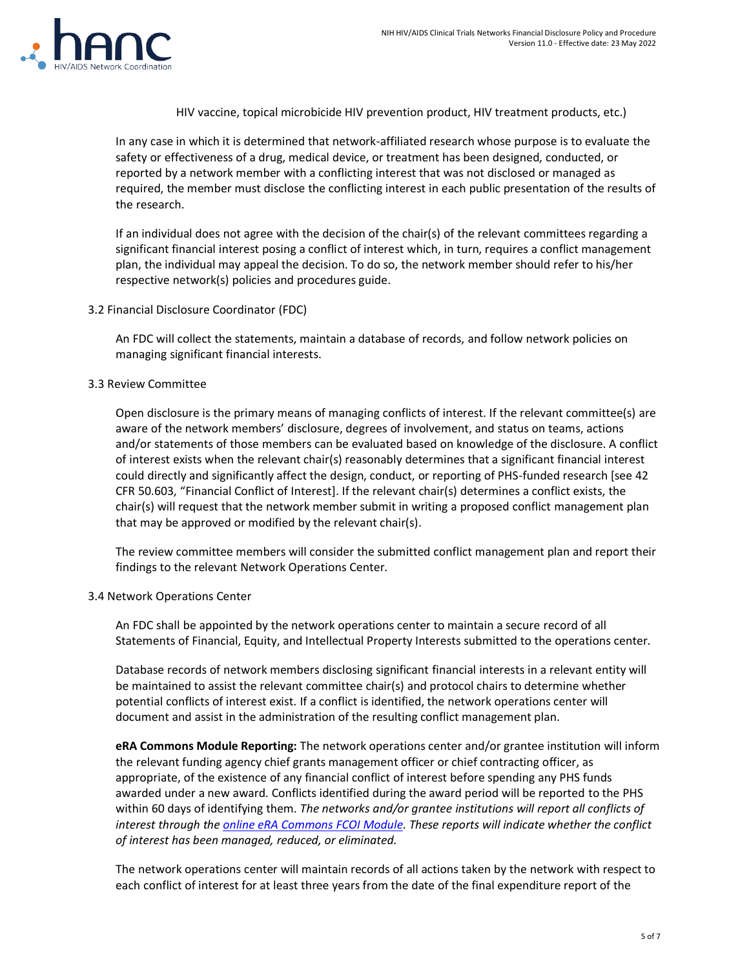

HIV vaccine, topical microbicide HIV prevention product, HIV treatment products, etc.)

In any case in which it is determined that network-affiliated research whose purpose is to evaluate the safety or effectiveness of a drug, medical device, or treatment has been designed, conducted, or reported by a network member with a conflicting interest that was not disclosed or managed as required, the member must disclose the conflicting interest in each public presentation of the results of the research.

If an individual does not agree with the decision of the chair(s) of the relevant committees regarding a significant financial interest posing a conflict of interest which, in turn, requires a conflict management plan, the individual may appeal the decision. To do so, the network member should refer to his/her respective network(s) policies and procedures guide.

<span id="page-6-0"></span>3.2 Financial Disclosure Coordinator (FDC)

An FDC will collect the statements, maintain a database of records, and follow network policies on managing significant financial interests.

## <span id="page-6-1"></span>3.3 Review Committee

Open disclosure is the primary means of managing conflicts of interest. If the relevant committee(s) are aware of the network members' disclosure, degrees of involvement, and status on teams, actions and/or statements of those members can be evaluated based on knowledge of the disclosure. A conflict of interest exists when the relevant chair(s) reasonably determines that a significant financial interest could directly and significantly affect the design, conduct, or reporting of PHS-funded research [see 42 CFR 50.603, "Financial Conflict of Interest]. If the relevant chair(s) determines a conflict exists, the chair(s) will request that the network member submit in writing a proposed conflict management plan that may be approved or modified by the relevant chair(s).

The review committee members will consider the submitted conflict management plan and report their findings to the relevant Network Operations Center.

## <span id="page-6-2"></span>3.4 Network Operations Center

An FDC shall be appointed by the network operations center to maintain a secure record of all Statements of Financial, Equity, and Intellectual Property Interests submitted to the operations center.

Database records of network members disclosing significant financial interests in a relevant entity will be maintained to assist the relevant committee chair(s) and protocol chairs to determine whether potential conflicts of interest exist. If a conflict is identified, the network operations center will document and assist in the administration of the resulting conflict management plan.

**eRA Commons Module Reporting:** The network operations center and/or grantee institution will inform the relevant funding agency chief grants management officer or chief contracting officer, as appropriate, of the existence of any financial conflict of interest before spending any PHS funds awarded under a new award. Conflicts identified during the award period will be reported to the PHS within 60 days of identifying them. *The networks and/or grantee institutions will report all conflicts of interest through the [online eRA Commons](https://era.nih.gov/) FCOI Module. These reports will indicate whether the conflict of interest has been managed, reduced, or eliminated.*

The network operations center will maintain records of all actions taken by the network with respect to each conflict of interest for at least three years from the date of the final expenditure report of the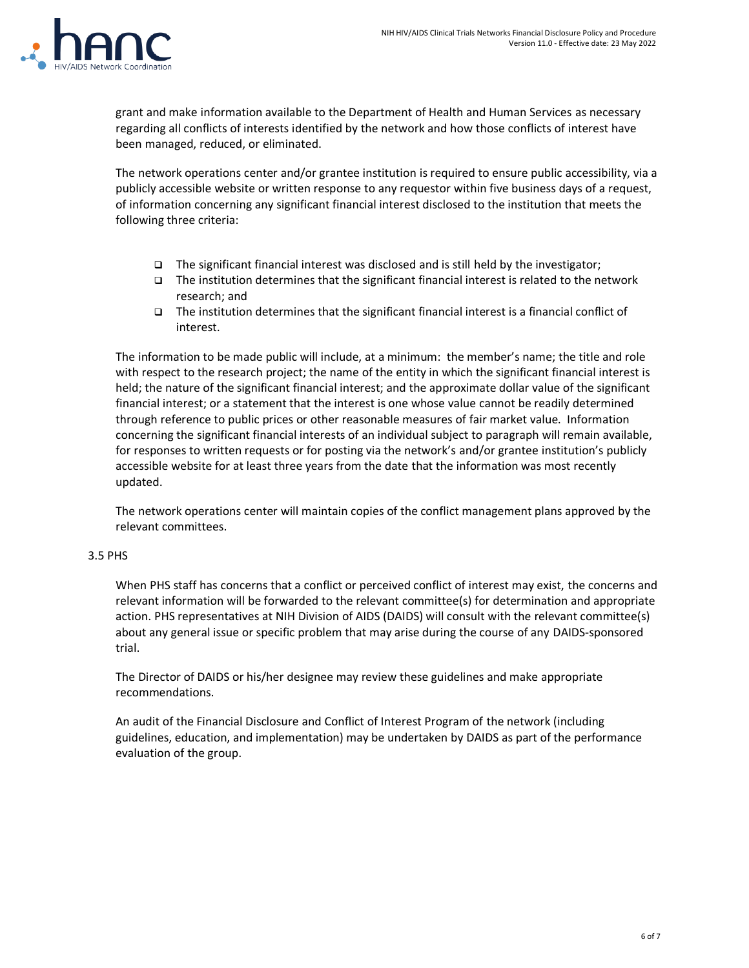

grant and make information available to the Department of Health and Human Services as necessary regarding all conflicts of interests identified by the network and how those conflicts of interest have been managed, reduced, or eliminated.

The network operations center and/or grantee institution is required to ensure public accessibility, via a publicly accessible website or written response to any requestor within five business days of a request, of information concerning any significant financial interest disclosed to the institution that meets the following three criteria:

- ❑ The significant financial interest was disclosed and is still held by the investigator;
- ❑ The institution determines that the significant financial interest is related to the network research; and
- ❑ The institution determines that the significant financial interest is a financial conflict of interest.

The information to be made public will include, at a minimum: the member's name; the title and role with respect to the research project; the name of the entity in which the significant financial interest is held; the nature of the significant financial interest; and the approximate dollar value of the significant financial interest; or a statement that the interest is one whose value cannot be readily determined through reference to public prices or other reasonable measures of fair market value. Information concerning the significant financial interests of an individual subject to paragraph will remain available, for responses to written requests or for posting via the network's and/or grantee institution's publicly accessible website for at least three years from the date that the information was most recently updated.

The network operations center will maintain copies of the conflict management plans approved by the relevant committees.

## <span id="page-7-0"></span>3.5 PHS

When PHS staff has concerns that a conflict or perceived conflict of interest may exist, the concerns and relevant information will be forwarded to the relevant committee(s) for determination and appropriate action. PHS representatives at NIH Division of AIDS (DAIDS) will consult with the relevant committee(s) about any general issue or specific problem that may arise during the course of any DAIDS-sponsored trial.

The Director of DAIDS or his/her designee may review these guidelines and make appropriate recommendations.

An audit of the Financial Disclosure and Conflict of Interest Program of the network (including guidelines, education, and implementation) may be undertaken by DAIDS as part of the performance evaluation of the group.